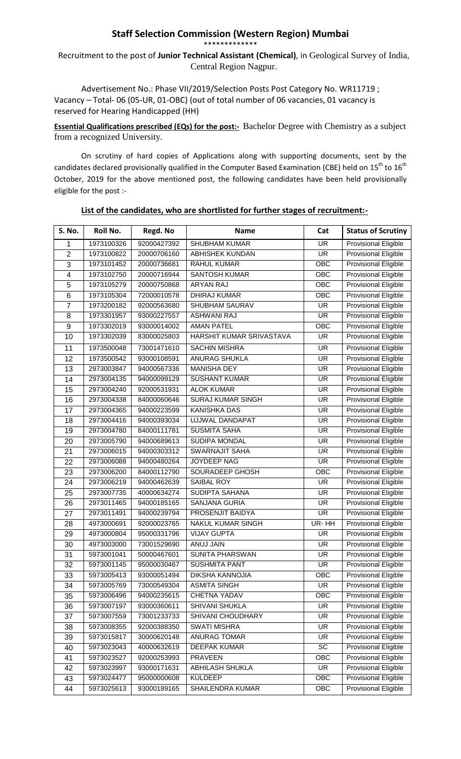## **Staff Selection Commission (Western Region) Mumbai** \*\*\*\*\*\*\*\*\*\*\*\*\*

## Recruitment to the post of **Junior Technical Assistant (Chemical)**, in Geological Survey of India, Central Region Nagpur.

Advertisement No.: Phase VII/2019/Selection Posts Post Category No. WR11719 ; Vacancy – Total- 06 (05-UR, 01-OBC) (out of total number of 06 vacancies, 01 vacancy is reserved for Hearing Handicapped (HH)

**Essential Qualifications prescribed (EQs) for the post:-** Bachelor Degree with Chemistry as a subject from a recognized University.

On scrutiny of hard copies of Applications along with supporting documents, sent by the candidates declared provisionally qualified in the Computer Based Examination (CBE) held on 15<sup>th</sup> to 16<sup>th</sup> October, 2019 for the above mentioned post, the following candidates have been held provisionally eligible for the post :-

| <b>S. No.</b>           | Roll No.   | Regd. No    | <b>Name</b>              | Cat                      | <b>Status of Scrutiny</b>   |
|-------------------------|------------|-------------|--------------------------|--------------------------|-----------------------------|
| 1                       | 1973100326 | 92000427392 | <b>SHUBHAM KUMAR</b>     | <b>UR</b>                | <b>Provisional Eligible</b> |
| $\overline{2}$          | 1973100822 | 20000706160 | ABHISHEK KUNDAN          | <b>UR</b>                | <b>Provisional Eligible</b> |
| 3                       | 1973101452 | 20000736681 | RAHUL KUMAR              | OBC                      | <b>Provisional Eligible</b> |
| $\overline{\mathbf{4}}$ | 1973102750 | 20000716944 | <b>SANTOSH KUMAR</b>     | OBC                      | <b>Provisional Eligible</b> |
| 5                       | 1973105279 | 20000750868 | <b>ARYAN RAJ</b>         | OBC                      | <b>Provisional Eligible</b> |
| 6                       | 1973105304 | 72000010578 | <b>DHIRAJ KUMAR</b>      | OBC                      | <b>Provisional Eligible</b> |
| $\overline{7}$          | 1973200182 | 92000563680 | SHUBHAM SAURAV           | <b>UR</b>                | <b>Provisional Eligible</b> |
| 8                       | 1973301957 | 93000227557 | <b>ASHWANI RAJ</b>       | <b>UR</b>                | <b>Provisional Eligible</b> |
| 9                       | 1973302019 | 93000014002 | <b>AMAN PATEL</b>        | OBC                      | <b>Provisional Eligible</b> |
| 10                      | 1973302039 | 83000025803 | HARSHIT KUMAR SRIVASTAVA | <b>UR</b>                | Provisional Eligible        |
| 11                      | 1973500048 | 73001471610 | <b>SACHIN MISHRA</b>     | <b>UR</b>                | <b>Provisional Eligible</b> |
| 12                      | 1973500542 | 93000108591 | <b>ANURAG SHUKLA</b>     | $\overline{\mathsf{UR}}$ | <b>Provisional Eligible</b> |
| 13                      | 2973003847 | 94000567336 | <b>MANISHA DEY</b>       | <b>UR</b>                | <b>Provisional Eligible</b> |
| 14                      | 2973004135 | 94000099129 | <b>SUSHANT KUMAR</b>     | <b>UR</b>                | <b>Provisional Eligible</b> |
| 15                      | 2973004240 | 92000531931 | <b>ALOK KUMAR</b>        | <b>UR</b>                | <b>Provisional Eligible</b> |
| 16                      | 2973004338 | 84000060646 | <b>SURAJ KUMAR SINGH</b> | <b>UR</b>                | <b>Provisional Eligible</b> |
| 17                      | 2973004365 | 94000223599 | <b>KANISHKA DAS</b>      | <b>UR</b>                | <b>Provisional Eligible</b> |
| 18                      | 2973004416 | 94000393034 | UJJWAL DANDAPAT          | <b>UR</b>                | Provisional Eligible        |
| 19                      | 2973004780 | 84000111781 | <b>SUSMITA SAHA</b>      | <b>UR</b>                | <b>Provisional Eligible</b> |
| 20                      | 2973005790 | 94000689613 | SUDIPA MONDAL            | <b>UR</b>                | <b>Provisional Eligible</b> |
| 21                      | 2973006015 | 94000303312 | <b>SWARNAJIT SAHA</b>    | <b>UR</b>                | <b>Provisional Eligible</b> |
| 22                      | 2973006088 | 94000480264 | JOYDEEP NAG              | <b>UR</b>                | <b>Provisional Eligible</b> |
| 23                      | 2973006200 | 84000112790 | SOURADEEP GHOSH          | OBC                      | <b>Provisional Eligible</b> |
| 24                      | 2973006219 | 94000462639 | SAIBAL ROY               | <b>UR</b>                | <b>Provisional Eligible</b> |
| 25                      | 2973007735 | 40000634274 | SUDIPTA SAHANA           | <b>UR</b>                | <b>Provisional Eligible</b> |
| 26                      | 2973011465 | 94000185165 | <b>SANJANA GURIA</b>     | <b>UR</b>                | <b>Provisional Eligible</b> |
| 27                      | 2973011491 | 94000239794 | PROSENJIT BAIDYA         | <b>UR</b>                | Provisional Eligible        |
| 28                      | 4973000691 | 92000023765 | NAKUL KUMAR SINGH        | UR-HH                    | <b>Provisional Eligible</b> |
| 29                      | 4973000804 | 95000331796 | <b>VIJAY GUPTA</b>       | <b>UR</b>                | <b>Provisional Eligible</b> |
| 30                      | 4973003000 | 73001529690 | ANUJ JAIN                | <b>UR</b>                | <b>Provisional Eligible</b> |
| 31                      | 5973001041 | 50000467601 | <b>SUNITA PHARSWAN</b>   | <b>UR</b>                | <b>Provisional Eligible</b> |
| 32                      | 5973001145 | 95000030467 | <b>SUSHMITA PANT</b>     | <b>UR</b>                | <b>Provisional Eligible</b> |
| 33                      | 5973005413 | 93000051494 | <b>DIKSHA KANNOJIA</b>   | $\overline{OBC}$         | <b>Provisional Eligible</b> |
| 34                      | 5973005769 | 73000549304 | <b>ASMITA SINGH</b>      | UR                       | <b>Provisional Eligible</b> |
| 35                      | 5973006496 | 94000235615 | CHETNA YADAV             | OBC                      | <b>Provisional Eligible</b> |
| 36                      | 5973007197 | 93000360611 | <b>SHIVANI SHUKLA</b>    | <b>UR</b>                | <b>Provisional Eligible</b> |
| 37                      | 5973007559 | 73001233733 | SHIVANI CHOUDHARY        | UR                       | <b>Provisional Eligible</b> |
| 38                      | 5973008355 | 92000388350 | <b>SWATI MISHRA</b>      | UR                       | <b>Provisional Eligible</b> |
| 39                      | 5973015817 | 30000620148 | <b>ANURAG TOMAR</b>      | UR                       | <b>Provisional Eligible</b> |
| 40                      | 5973023043 | 40000632619 | <b>DEEPAK KUMAR</b>      | SC                       | <b>Provisional Eligible</b> |
| 41                      | 5973023527 | 92000253993 | <b>PRAVEEN</b>           | OBC                      | <b>Provisional Eligible</b> |
| 42                      | 5973023997 | 93000171631 | <b>ABHILASH SHUKLA</b>   | <b>UR</b>                | <b>Provisional Eligible</b> |
| 43                      | 5973024477 | 95000000608 | <b>KULDEEP</b>           | OBC                      | <b>Provisional Eligible</b> |
| 44                      | 5973025613 | 93000189165 | SHAILENDRA KUMAR         | OBC                      | <b>Provisional Eligible</b> |
|                         |            |             |                          |                          |                             |

**List of the candidates, who are shortlisted for further stages of recruitment:-**